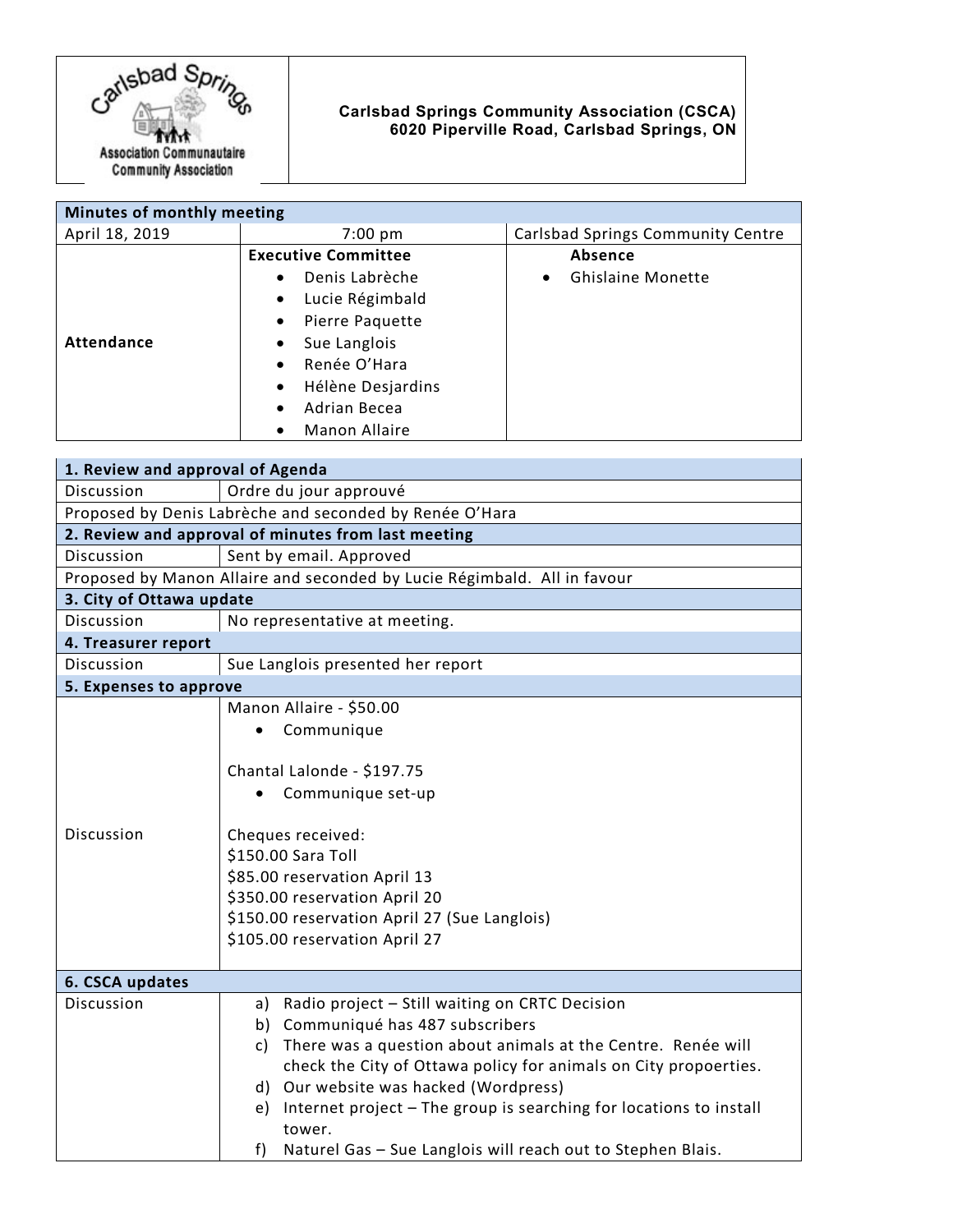

## **Carlsbad Springs Community Association (CSCA) 6020 Piperville Road, Carlsbad Springs, ON**

| Minutes of monthly meeting |                                   |                                          |
|----------------------------|-----------------------------------|------------------------------------------|
| April 18, 2019             | $7:00 \text{ pm}$                 | <b>Carlsbad Springs Community Centre</b> |
|                            | <b>Executive Committee</b>        | Absence                                  |
|                            | Denis Labrèche<br>$\bullet$       | <b>Ghislaine Monette</b><br>$\bullet$    |
|                            | Lucie Régimbald<br>$\bullet$      |                                          |
|                            | Pierre Paquette<br>$\bullet$      |                                          |
| Attendance                 | Sue Langlois<br>$\bullet$         |                                          |
|                            | Renée O'Hara<br>$\bullet$         |                                          |
|                            | Hélène Desjardins<br>$\bullet$    |                                          |
|                            | Adrian Becea<br>$\bullet$         |                                          |
|                            | <b>Manon Allaire</b><br>$\bullet$ |                                          |

| 1. Review and approval of Agenda                                         |                                                                          |  |  |
|--------------------------------------------------------------------------|--------------------------------------------------------------------------|--|--|
| Discussion                                                               | Ordre du jour approuvé                                                   |  |  |
| Proposed by Denis Labrèche and seconded by Renée O'Hara                  |                                                                          |  |  |
| 2. Review and approval of minutes from last meeting                      |                                                                          |  |  |
| Discussion                                                               | Sent by email. Approved                                                  |  |  |
| Proposed by Manon Allaire and seconded by Lucie Régimbald. All in favour |                                                                          |  |  |
| 3. City of Ottawa update                                                 |                                                                          |  |  |
| Discussion                                                               | No representative at meeting.                                            |  |  |
| 4. Treasurer report                                                      |                                                                          |  |  |
| <b>Discussion</b>                                                        | Sue Langlois presented her report                                        |  |  |
| 5. Expenses to approve                                                   |                                                                          |  |  |
|                                                                          | Manon Allaire - \$50.00                                                  |  |  |
|                                                                          | Communique                                                               |  |  |
|                                                                          |                                                                          |  |  |
|                                                                          | Chantal Lalonde - \$197.75                                               |  |  |
|                                                                          | Communique set-up                                                        |  |  |
|                                                                          |                                                                          |  |  |
| Discussion                                                               | Cheques received:                                                        |  |  |
|                                                                          | \$150.00 Sara Toll                                                       |  |  |
|                                                                          | \$85.00 reservation April 13                                             |  |  |
|                                                                          | \$350.00 reservation April 20                                            |  |  |
|                                                                          | \$150.00 reservation April 27 (Sue Langlois)                             |  |  |
|                                                                          | \$105.00 reservation April 27                                            |  |  |
|                                                                          |                                                                          |  |  |
| 6. CSCA updates                                                          |                                                                          |  |  |
| Discussion                                                               | Radio project - Still waiting on CRTC Decision<br>a)                     |  |  |
|                                                                          | Communiqué has 487 subscribers<br>b)                                     |  |  |
|                                                                          | There was a question about animals at the Centre. Renée will<br>c)       |  |  |
|                                                                          | check the City of Ottawa policy for animals on City propoerties.         |  |  |
|                                                                          | d) Our website was hacked (Wordpress)                                    |  |  |
|                                                                          | Internet project - The group is searching for locations to install<br>e) |  |  |
|                                                                          | tower.                                                                   |  |  |
|                                                                          | Naturel Gas - Sue Langlois will reach out to Stephen Blais.<br>f         |  |  |